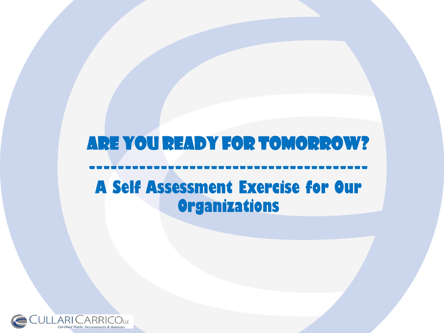## Are you Ready for Tomorrow? --------------------------------------- **A Self Assessment Exercise for Our Organizations**

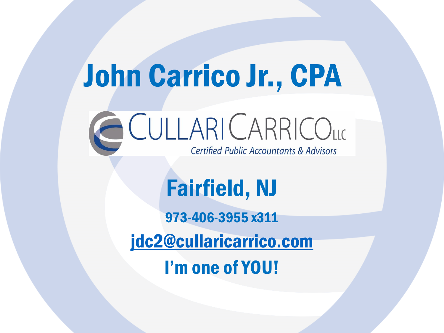# John Carrico Jr., CPA CULLARICARRICOLLO **Certified Public Accountants & Advisors**

# Fairfield, NJ

973-406-3955 x311 [jdc2@cullaricarrico.com](mailto:jdc2@cullaricarrico.com) I'm one of YOU!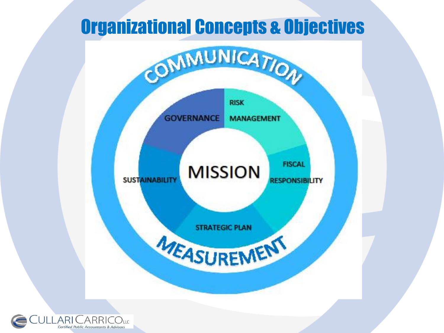## Organizational Concepts & Objectives

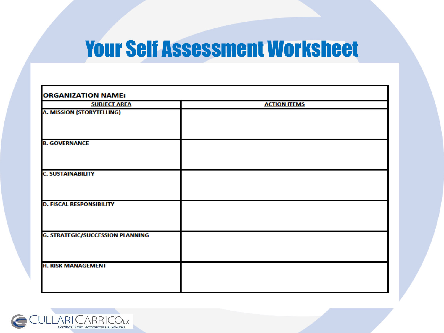## Your Self Assessment Worksheet

| <b>ORGANIZATION NAME:</b>               |                     |
|-----------------------------------------|---------------------|
| <b>SUBJECT AREA</b>                     | <b>ACTION ITEMS</b> |
| <b>A. MISSION (STORYTELLING)</b>        |                     |
| <b>B. GOVERNANCE</b>                    |                     |
| <b>C. SUSTAINABILITY</b>                |                     |
| <b>D. FISCAL RESPONSIBILITY</b>         |                     |
| <b>G. STRATEGIC/SUCCESSION PLANNING</b> |                     |
| <b>H. RISK MANAGEMENT</b>               |                     |

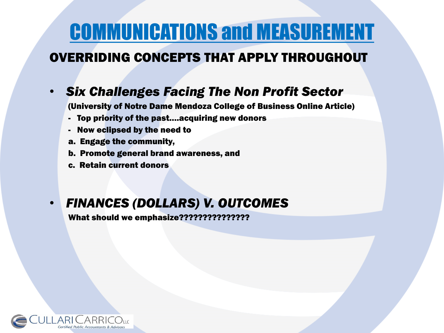# COMMUNICATIONS and MEASUREMENT

### OVERRIDING CONCEPTS THAT APPLY THROUGHOUT

### • *Six Challenges Facing The Non Profit Sector*

(University of Notre Dame Mendoza College of Business Online Article)

- Top priority of the past….acquiring new donors
- Now eclipsed by the need to
- a. Engage the community,
- b. Promote general brand awareness, and
- c. Retain current donors

#### • *FINANCES (DOLLARS) V. OUTCOMES*

What should we emphasize???????????????

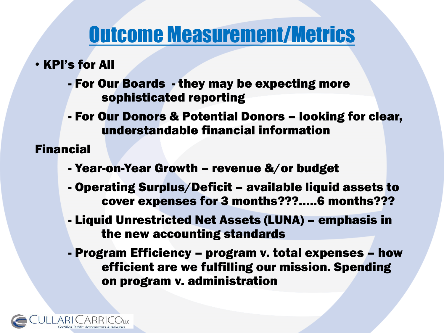## Outcome Measurement/Metrics

- KPI's for All
	- For Our Boards they may be expecting more sophisticated reporting
	- For Our Donors & Potential Donors looking for clear, understandable financial information

Financial

- Year-on-Year Growth revenue &/or budget
- Operating Surplus/Deficit available liquid assets to cover expenses for 3 months???…..6 months???
- Liquid Unrestricted Net Assets (LUNA) emphasis in the new accounting standards
- Program Efficiency program v. total expenses how efficient are we fulfilling our mission. Spending on program v. administration

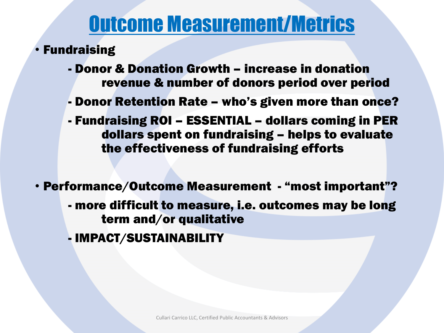## Outcome Measurement/Metrics

- Fundraising
	- Donor & Donation Growth increase in donation revenue & number of donors period over period
	- Donor Retention Rate who's given more than once?
	- Fundraising ROI ESSENTIAL dollars coming in PER dollars spent on fundraising – helps to evaluate the effectiveness of fundraising efforts
- Performance/Outcome Measurement "most important"?
	- more difficult to measure, i.e. outcomes may be long term and/or qualitative
	- IMPACT/SUSTAINABILITY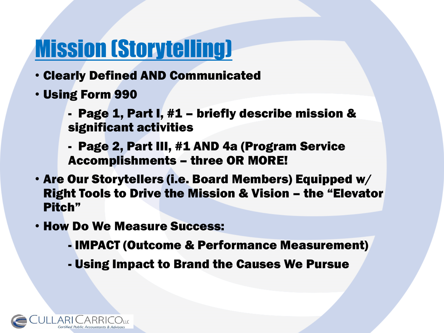# Mission (Storytelling)

- Clearly Defined AND Communicated
- Using Form 990
	- Page 1, Part I, #1 briefly describe mission & significant activities
	- Page 2, Part III, #1 AND 4a (Program Service Accomplishments – three OR MORE!
- Are Our Storytellers (i.e. Board Members) Equipped w/ Right Tools to Drive the Mission & Vision – the "Elevator Pitch"
- How Do We Measure Success:
	- IMPACT (Outcome & Performance Measurement)
	- Using Impact to Brand the Causes We Pursue

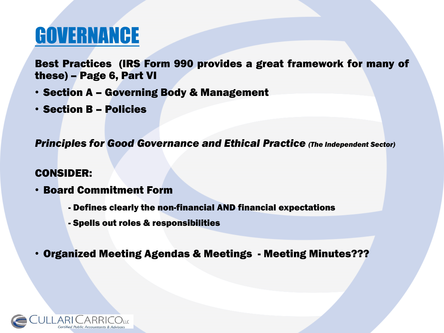# GOVERNANCE

Best Practices (IRS Form 990 provides a great framework for many of these) – Page 6, Part VI

- Section A Governing Body & Management
- Section B Policies

*Principles for Good Governance and Ethical Practice (The Independent Sector)*

#### CONSIDER:

- Board Commitment Form
	- Defines clearly the non-financial AND financial expectations
	- Spells out roles & responsibilities
- Organized Meeting Agendas & Meetings Meeting Minutes???

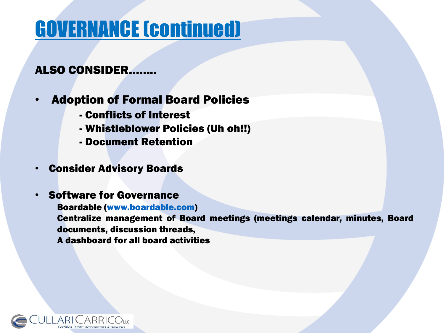# GOVERNANCE (continued)

#### ALSO CONSIDER……..

### • Adoption of Formal Board Policies

- Conflicts of Interest
- Whistleblower Policies (Uh oh!!)
- Document Retention
- Consider Advisory Boards
- Software for Governance

Boardable [\(www.boardable.com\)](http://www.boardable.com/) Centralize management of Board meetings (meetings calendar, minutes, Board documents, discussion threads, A dashboard for all board activities

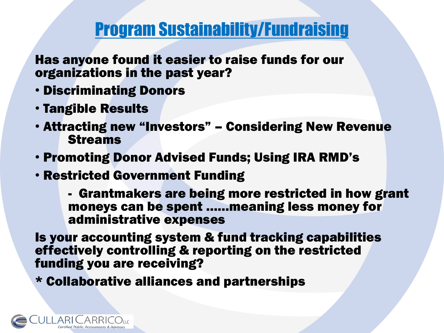### Program Sustainability/Fundraising

Has anyone found it easier to raise funds for our organizations in the past year?

- Discriminating Donors
- Tangible Results
- Attracting new "Investors" Considering New Revenue Streams
- Promoting Donor Advised Funds; Using IRA RMD's
- Restricted Government Funding

- Grantmakers are being more restricted in how grant moneys can be spent ……meaning less money for administrative expenses

Is your accounting system & fund tracking capabilities effectively controlling & reporting on the restricted funding you are receiving?

\* Collaborative alliances and partnerships

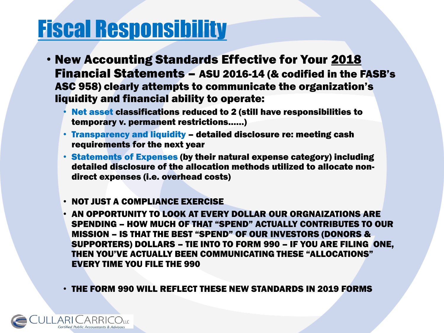# Fiscal Responsibility

- New Accounting Standards Effective for Your 2018 Financial Statements – ASU 2016-14 (& codified in the FASB's ASC 958) clearly attempts to communicate the organization's liquidity and financial ability to operate:
	- Net asset classifications reduced to 2 (still have responsibilities to temporary v. permanent restrictions……)
	- Transparency and liquidity detailed disclosure re: meeting cash requirements for the next year
	- Statements of Expenses (by their natural expense category) including detailed disclosure of the allocation methods utilized to allocate nondirect expenses (i.e. overhead costs)
	- NOT JUST A COMPLIANCE EXERCISE
	- AN OPPORTUNITY TO LOOK AT EVERY DOLLAR OUR ORGNAIZATIONS ARE SPENDING – HOW MUCH OF THAT "SPEND" ACTUALLY CONTRIBUTES TO OUR MISSION – IS THAT THE BEST "SPEND" OF OUR INVESTORS (DONORS & SUPPORTERS) DOLLARS – TIE INTO TO FORM 990 – IF YOU ARE FILING ONE, THEN YOU'VE ACTUALLY BEEN COMMUNICATING THESE "ALLOCATIONS" EVERY TIME YOU FILE THE 990

• THE FORM 990 WILL REFLECT THESE NEW STANDARDS IN 2019 FORMS

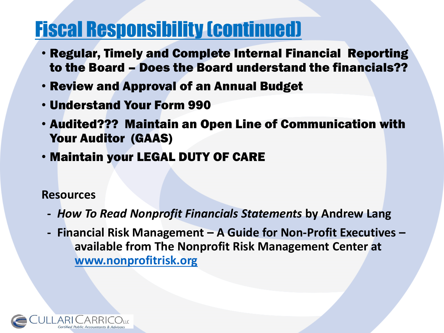## Fiscal Responsibility (continued)

- Regular, Timely and Complete Internal Financial Reporting to the Board – Does the Board understand the financials??
- Review and Approval of an Annual Budget
- Understand Your Form 990
- Audited??? Maintain an Open Line of Communication with Your Auditor (GAAS)
- Maintain your LEGAL DUTY OF CARE

#### **Resources**

- **-** *How To Read Nonprofit Financials Statements* **by Andrew Lang**
- **- Financial Risk Management – A Guide for Non-Profit Executives – available from The Nonprofit Risk Management Center at [www.nonprofitrisk.org](http://www.nonprofitrisk.org/)**

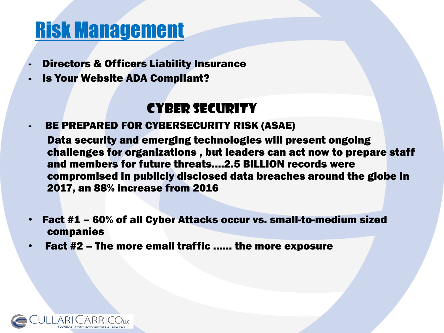# Risk Management

- Directors & Officers Liability Insurance
- Is Your Website ADA Compliant?

### CYBER SECURITY

BE PREPARED FOR CYBERSECURITY RISK (ASAE)

Data security and emerging technologies will present ongoing challenges for organizations , but leaders can act now to prepare staff and members for future threats….2.5 BILLION records were compromised in publicly disclosed data breaches around the globe in 2017, an 88% increase from 2016

- Fact #1 60% of all Cyber Attacks occur vs. small-to-medium sized companies
- Fact #2 The more email traffic …… the more exposure

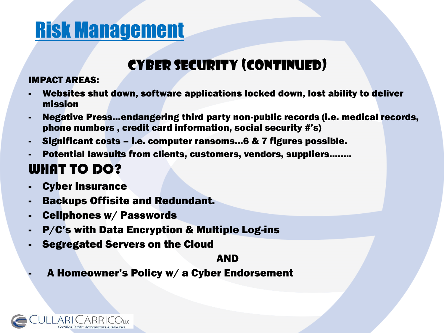# Risk Management

### CYBER SECURITY (continued)

#### IMPACT AREAS:

- Websites shut down, software applications locked down, lost ability to deliver mission
- Negative Press…endangering third party non-public records (i.e. medical records, phone numbers , credit card information, social security #'s)
- Significant costs i.e. computer ransoms…6 & 7 figures possible.
- Potential lawsuits from clients, customers, vendors, suppliers........

### WHAT TO DO?

- **Cyber Insurance**
- **Backups Offisite and Redundant.**
- Cellphones w/ Passwords
- P/C's with Data Encryption & Multiple Log-ins
- Segregated Servers on the Cloud

#### AND

- A Homeowner's Policy w/ a Cyber Endorsement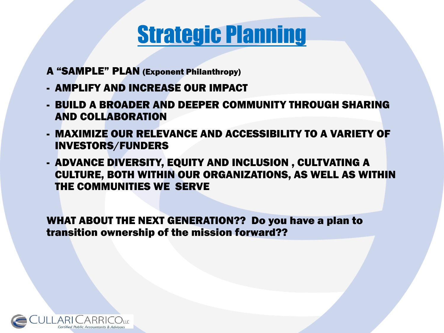## Strategic Planning

- A "SAMPLE" PLAN (Exponent Philanthropy)
- AMPLIFY AND INCREASE OUR IMPACT
- BUILD A BROADER AND DEEPER COMMUNITY THROUGH SHARING AND COLLABORATION
- MAXIMIZE OUR RELEVANCE AND ACCESSIBILITY TO A VARIETY OF INVESTORS/FUNDERS
- ADVANCE DIVERSITY, EQUITY AND INCLUSION , CULTVATING A CULTURE, BOTH WITHIN OUR ORGANIZATIONS, AS WELL AS WITHIN THE COMMUNITIES WE SERVE

WHAT ABOUT THE NEXT GENERATION?? Do you have a plan to transition ownership of the mission forward??

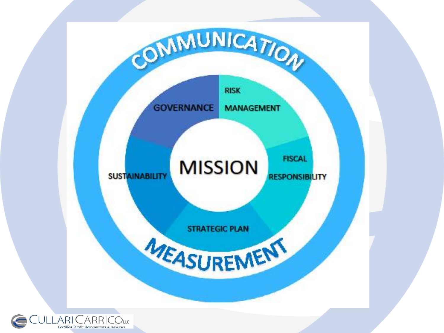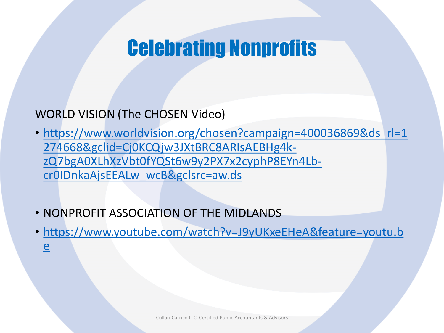## Celebrating Nonprofits

### WORLD VISION (The CHOSEN Video)

- https://www.worldvision.org/chosen?campaign=400036869&ds rl=1 274668&gclid=Cj0KCQjw3JXtBRC8ARIsAEBHg4kzQ7bgA0XLhXzVbt0fYQSt6w9y2PX7x2cyphP8EYn4Lbcr0IDnkaAjsEEALw\_wcB&gclsrc=aw.ds
- NONPROFIT ASSOCIATION OF THE MIDLANDS
- [https://www.youtube.com/watch?v=J9yUKxeEHeA&feature=youtu.b](https://www.youtube.com/watch?v=J9yUKxeEHeA&feature=youtu.be) e